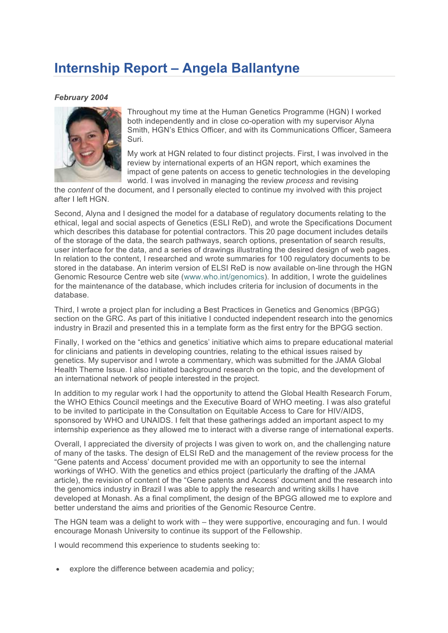## **Internship Report – Angela Ballantyne**

## *February 2004*



Throughout my time at the Human Genetics Programme (HGN) I worked both independently and in close co-operation with my supervisor Alyna Smith, HGN's Ethics Officer, and with its Communications Officer, Sameera Suri.

My work at HGN related to four distinct projects. First, I was involved in the review by international experts of an HGN report, which examines the impact of gene patents on access to genetic technologies in the developing world. I was involved in managing the review *process* and revising

the *content* of the document, and I personally elected to continue my involved with this project after I left HGN.

Second, Alyna and I designed the model for a database of regulatory documents relating to the ethical, legal and social aspects of Genetics (ESLI ReD), and wrote the Specifications Document which describes this database for potential contractors. This 20 page document includes details of the storage of the data, the search pathways, search options, presentation of search results, user interface for the data, and a series of drawings illustrating the desired design of web pages. In relation to the content, I researched and wrote summaries for 100 regulatory documents to be stored in the database. An interim version of ELSI ReD is now available on-line through the HGN Genomic Resource Centre web site (www.who.int/genomics). In addition, I wrote the guidelines for the maintenance of the database, which includes criteria for inclusion of documents in the database.

Third, I wrote a project plan for including a Best Practices in Genetics and Genomics (BPGG) section on the GRC. As part of this initiative I conducted independent research into the genomics industry in Brazil and presented this in a template form as the first entry for the BPGG section.

Finally, I worked on the "ethics and genetics' initiative which aims to prepare educational material for clinicians and patients in developing countries, relating to the ethical issues raised by genetics. My supervisor and I wrote a commentary, which was submitted for the JAMA Global Health Theme Issue. I also initiated background research on the topic, and the development of an international network of people interested in the project.

In addition to my regular work I had the opportunity to attend the Global Health Research Forum, the WHO Ethics Council meetings and the Executive Board of WHO meeting. I was also grateful to be invited to participate in the Consultation on Equitable Access to Care for HIV/AIDS, sponsored by WHO and UNAIDS. I felt that these gatherings added an important aspect to my internship experience as they allowed me to interact with a diverse range of international experts.

Overall, I appreciated the diversity of projects I was given to work on, and the challenging nature of many of the tasks. The design of ELSI ReD and the management of the review process for the "Gene patents and Access' document provided me with an opportunity to see the internal workings of WHO. With the genetics and ethics project (particularly the drafting of the JAMA article), the revision of content of the "Gene patents and Access' document and the research into the genomics industry in Brazil I was able to apply the research and writing skills I have developed at Monash. As a final compliment, the design of the BPGG allowed me to explore and better understand the aims and priorities of the Genomic Resource Centre.

The HGN team was a delight to work with – they were supportive, encouraging and fun. I would encourage Monash University to continue its support of the Fellowship.

I would recommend this experience to students seeking to:

explore the difference between academia and policy;